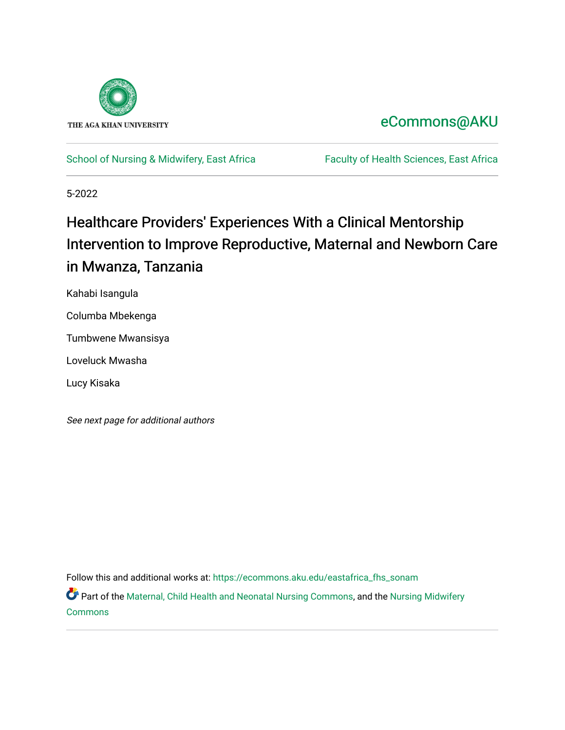

# [eCommons@AKU](https://ecommons.aku.edu/)

#### [School of Nursing & Midwifery, East Africa](https://ecommons.aku.edu/eastafrica_fhs_sonam) Faculty of Health Sciences, East Africa

5-2022

# Healthcare Providers' Experiences With a Clinical Mentorship Intervention to Improve Reproductive, Maternal and Newborn Care in Mwanza, Tanzania

Kahabi Isangula

Columba Mbekenga

Tumbwene Mwansisya

Loveluck Mwasha

Lucy Kisaka

See next page for additional authors

Follow this and additional works at: [https://ecommons.aku.edu/eastafrica\\_fhs\\_sonam](https://ecommons.aku.edu/eastafrica_fhs_sonam?utm_source=ecommons.aku.edu%2Feastafrica_fhs_sonam%2F418&utm_medium=PDF&utm_campaign=PDFCoverPages) 

Part of the [Maternal, Child Health and Neonatal Nursing Commons,](https://network.bepress.com/hgg/discipline/721?utm_source=ecommons.aku.edu%2Feastafrica_fhs_sonam%2F418&utm_medium=PDF&utm_campaign=PDFCoverPages) and the Nursing Midwifery [Commons](https://network.bepress.com/hgg/discipline/722?utm_source=ecommons.aku.edu%2Feastafrica_fhs_sonam%2F418&utm_medium=PDF&utm_campaign=PDFCoverPages)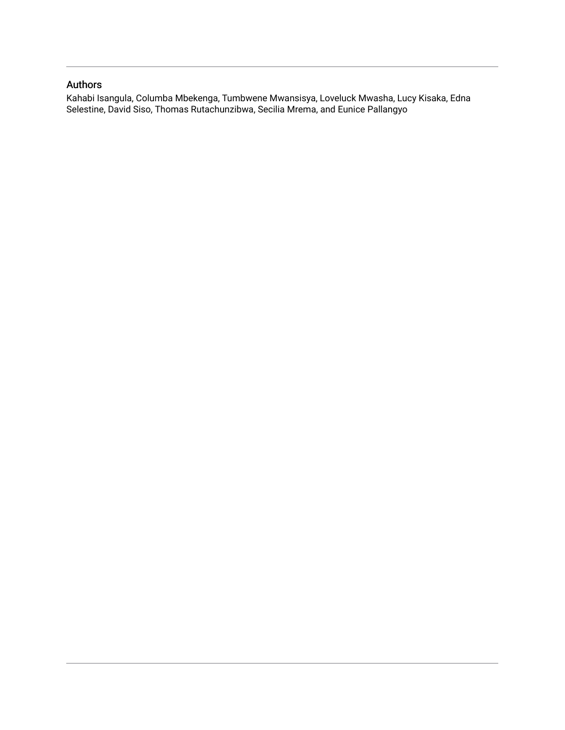## Authors

Kahabi Isangula, Columba Mbekenga, Tumbwene Mwansisya, Loveluck Mwasha, Lucy Kisaka, Edna Selestine, David Siso, Thomas Rutachunzibwa, Secilia Mrema, and Eunice Pallangyo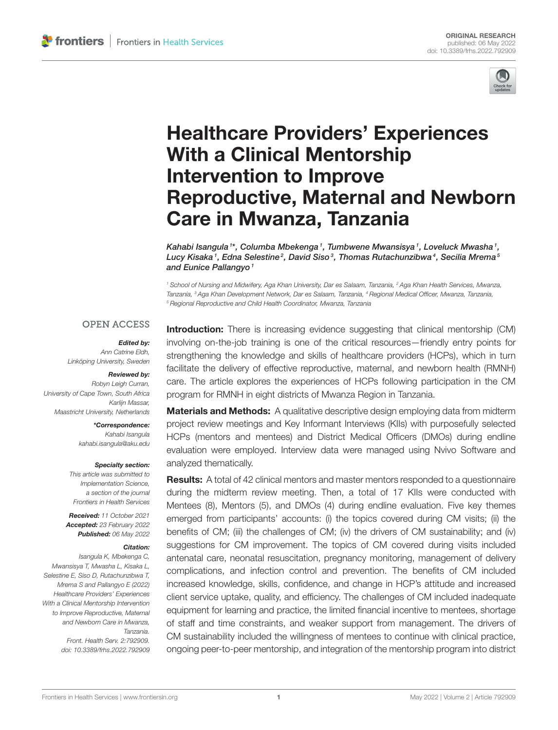

# Healthcare Providers' Experiences With a Clinical Mentorship Intervention to Improve [Reproductive, Maternal and Newborn](https://www.frontiersin.org/articles/10.3389/frhs.2022.792909/full) Care in Mwanza, Tanzania

Kahabi Isangula <sup>1\*</sup>, Columba Mbekenga <sup>1</sup>, Tumbwene Mwansisya <sup>1</sup>, Loveluck Mwasha <sup>1</sup>, Lucy Kisaka1, Edna Selestine?, David Siso3, Thomas Rutachunzibwa4, Secilia Mrema5 and Eunice Pallangyo<sup>1</sup>

<sup>1</sup> School of Nursing and Midwifery, Aga Khan University, Dar es Salaam, Tanzania, <sup>2</sup> Aga Khan Health Services, Mwanza, Tanzania, <sup>3</sup> Aga Khan Development Network, Dar es Salaam, Tanzania, <sup>4</sup> Regional Medical Officer, Mwanza, Tanzania, <sup>5</sup> Regional Reproductive and Child Health Coordinator, Mwanza, Tanzania

#### **OPEN ACCESS**

#### Edited by:

Ann Catrine Eldh, Linköping University, Sweden

#### Reviewed by:

Robyn Leigh Curran, University of Cape Town, South Africa Karlijn Massar, Maastricht University, Netherlands

> \*Correspondence: Kahabi Isangula [kahabi.isangula@aku.edu](mailto:kahabi.isangula@aku.edu)

#### Specialty section:

This article was submitted to Implementation Science, a section of the journal Frontiers in Health Services

Received: 11 October 2021 Accepted: 23 February 2022 Published: 06 May 2022

#### Citation:

Isangula K, Mbekenga C, Mwansisya T, Mwasha L, Kisaka L, Selestine E, Siso D, Rutachunzibwa T, Mrema S and Pallangyo E (2022) Healthcare Providers' Experiences With a Clinical Mentorship Intervention to Improve Reproductive, Maternal and Newborn Care in Mwanza, Tanzania. Front. Health Serv. 2:792909. doi: [10.3389/frhs.2022.792909](https://doi.org/10.3389/frhs.2022.792909) Introduction: There is increasing evidence suggesting that clinical mentorship (CM) involving on-the-job training is one of the critical resources—friendly entry points for strengthening the knowledge and skills of healthcare providers (HCPs), which in turn facilitate the delivery of effective reproductive, maternal, and newborn health (RMNH) care. The article explores the experiences of HCPs following participation in the CM program for RMNH in eight districts of Mwanza Region in Tanzania.

**Materials and Methods:** A qualitative descriptive design employing data from midterm project review meetings and Key Informant Interviews (KIIs) with purposefully selected HCPs (mentors and mentees) and District Medical Officers (DMOs) during endline evaluation were employed. Interview data were managed using Nvivo Software and analyzed thematically.

**Results:** A total of 42 clinical mentors and master mentors responded to a questionnaire during the midterm review meeting. Then, a total of 17 KIIs were conducted with Mentees (8), Mentors (5), and DMOs (4) during endline evaluation. Five key themes emerged from participants' accounts: (i) the topics covered during CM visits; (ii) the benefits of CM; (iii) the challenges of CM; (iv) the drivers of CM sustainability; and (iv) suggestions for CM improvement. The topics of CM covered during visits included antenatal care, neonatal resuscitation, pregnancy monitoring, management of delivery complications, and infection control and prevention. The benefits of CM included increased knowledge, skills, confidence, and change in HCP's attitude and increased client service uptake, quality, and efficiency. The challenges of CM included inadequate equipment for learning and practice, the limited financial incentive to mentees, shortage of staff and time constraints, and weaker support from management. The drivers of CM sustainability included the willingness of mentees to continue with clinical practice, ongoing peer-to-peer mentorship, and integration of the mentorship program into district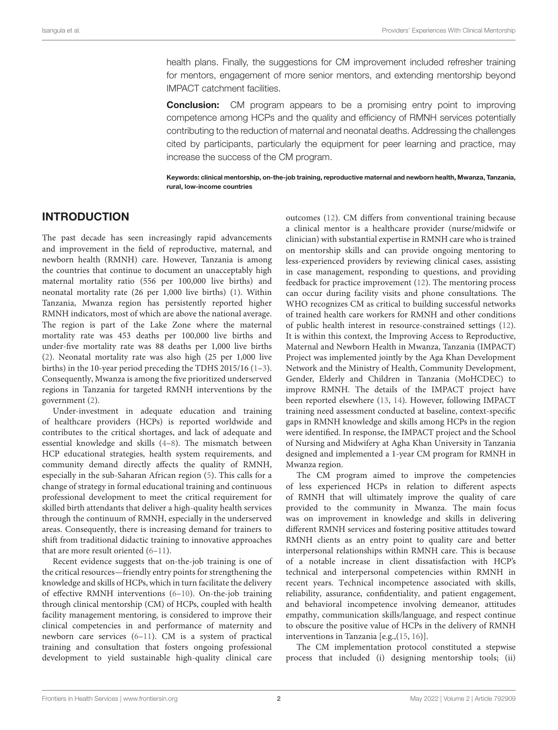health plans. Finally, the suggestions for CM improvement included refresher training for mentors, engagement of more senior mentors, and extending mentorship beyond IMPACT catchment facilities.

**Conclusion:** CM program appears to be a promising entry point to improving competence among HCPs and the quality and efficiency of RMNH services potentially contributing to the reduction of maternal and neonatal deaths. Addressing the challenges cited by participants, particularly the equipment for peer learning and practice, may increase the success of the CM program.

Keywords: clinical mentorship, on-the-job training, reproductive maternal and newborn health, Mwanza, Tanzania, rural, low-income countries

### INTRODUCTION

The past decade has seen increasingly rapid advancements and improvement in the field of reproductive, maternal, and newborn health (RMNH) care. However, Tanzania is among the countries that continue to document an unacceptably high maternal mortality ratio (556 per 100,000 live births) and neonatal mortality rate (26 per 1,000 live births) [\(1\)](#page-14-0). Within Tanzania, Mwanza region has persistently reported higher RMNH indicators, most of which are above the national average. The region is part of the Lake Zone where the maternal mortality rate was 453 deaths per 100,000 live births and under-five mortality rate was 88 deaths per 1,000 live births [\(2\)](#page-14-1). Neonatal mortality rate was also high (25 per 1,000 live births) in the 10-year period preceding the TDHS 2015/16 [\(1](#page-14-0)[–3\)](#page-14-2). Consequently, Mwanza is among the five prioritized underserved regions in Tanzania for targeted RMNH interventions by the government [\(2\)](#page-14-1).

Under-investment in adequate education and training of healthcare providers (HCPs) is reported worldwide and contributes to the critical shortages, and lack of adequate and essential knowledge and skills [\(4](#page-14-3)[–8\)](#page-14-4). The mismatch between HCP educational strategies, health system requirements, and community demand directly affects the quality of RMNH, especially in the sub-Saharan African region [\(5\)](#page-14-5). This calls for a change of strategy in formal educational training and continuous professional development to meet the critical requirement for skilled birth attendants that deliver a high-quality health services through the continuum of RMNH, especially in the underserved areas. Consequently, there is increasing demand for trainers to shift from traditional didactic training to innovative approaches that are more result oriented [\(6](#page-14-6)-11).

Recent evidence suggests that on-the-job training is one of the critical resources—friendly entry points for strengthening the knowledge and skills of HCPs, which in turn facilitate the delivery of effective RMNH interventions [\(6–](#page-14-6)[10\)](#page-14-8). On-the-job training through clinical mentorship (CM) of HCPs, coupled with health facility management mentoring, is considered to improve their clinical competencies in and performance of maternity and newborn care services [\(6–](#page-14-6)[11\)](#page-14-7). CM is a system of practical training and consultation that fosters ongoing professional development to yield sustainable high-quality clinical care

outcomes [\(12\)](#page-14-9). CM differs from conventional training because a clinical mentor is a healthcare provider (nurse/midwife or clinician) with substantial expertise in RMNH care who is trained on mentorship skills and can provide ongoing mentoring to less-experienced providers by reviewing clinical cases, assisting in case management, responding to questions, and providing feedback for practice improvement [\(12\)](#page-14-9). The mentoring process can occur during facility visits and phone consultations. The WHO recognizes CM as critical to building successful networks of trained health care workers for RMNH and other conditions of public health interest in resource-constrained settings [\(12\)](#page-14-9). It is within this context, the Improving Access to Reproductive, Maternal and Newborn Health in Mwanza, Tanzania (IMPACT) Project was implemented jointly by the Aga Khan Development Network and the Ministry of Health, Community Development, Gender, Elderly and Children in Tanzania (MoHCDEC) to improve RMNH. The details of the IMPACT project have been reported elsewhere [\(13,](#page-14-10) [14\)](#page-14-11). However, following IMPACT training need assessment conducted at baseline, context-specific gaps in RMNH knowledge and skills among HCPs in the region were identified. In response, the IMPACT project and the School of Nursing and Midwifery at Agha Khan University in Tanzania designed and implemented a 1-year CM program for RMNH in Mwanza region.

The CM program aimed to improve the competencies of less experienced HCPs in relation to different aspects of RMNH that will ultimately improve the quality of care provided to the community in Mwanza. The main focus was on improvement in knowledge and skills in delivering different RMNH services and fostering positive attitudes toward RMNH clients as an entry point to quality care and better interpersonal relationships within RMNH care. This is because of a notable increase in client dissatisfaction with HCP's technical and interpersonal competencies within RMNH in recent years. Technical incompetence associated with skills, reliability, assurance, confidentiality, and patient engagement, and behavioral incompetence involving demeanor, attitudes empathy, communication skills/language, and respect continue to obscure the positive value of HCPs in the delivery of RMNH interventions in Tanzania [e.g.,[\(15,](#page-14-12) [16\)](#page-14-13)].

The CM implementation protocol constituted a stepwise process that included (i) designing mentorship tools; (ii)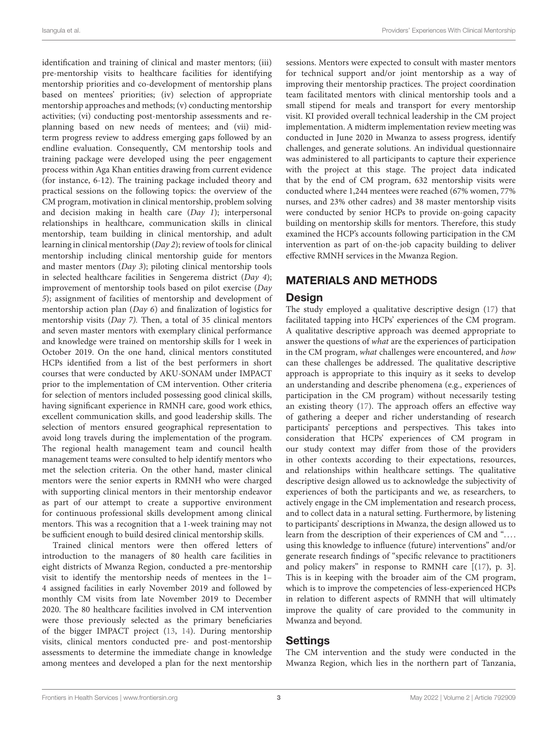identification and training of clinical and master mentors; (iii) pre-mentorship visits to healthcare facilities for identifying mentorship priorities and co-development of mentorship plans based on mentees' priorities; (iv) selection of appropriate mentorship approaches and methods; (v) conducting mentorship activities; (vi) conducting post-mentorship assessments and replanning based on new needs of mentees; and (vii) midterm progress review to address emerging gaps followed by an endline evaluation. Consequently, CM mentorship tools and training package were developed using the peer engagement process within Aga Khan entities drawing from current evidence (for instance, 6-12). The training package included theory and practical sessions on the following topics: the overview of the CM program, motivation in clinical mentorship, problem solving and decision making in health care (Day 1); interpersonal relationships in healthcare, communication skills in clinical mentorship, team building in clinical mentorship, and adult learning in clinical mentorship (Day 2); review of tools for clinical mentorship including clinical mentorship guide for mentors and master mentors (Day 3); piloting clinical mentorship tools in selected healthcare facilities in Sengerema district (Day 4); improvement of mentorship tools based on pilot exercise (Day 5); assignment of facilities of mentorship and development of mentorship action plan (Day 6) and finalization of logistics for mentorship visits (Day 7). Then, a total of 35 clinical mentors and seven master mentors with exemplary clinical performance and knowledge were trained on mentorship skills for 1 week in October 2019. On the one hand, clinical mentors constituted HCPs identified from a list of the best performers in short courses that were conducted by AKU-SONAM under IMPACT prior to the implementation of CM intervention. Other criteria for selection of mentors included possessing good clinical skills, having significant experience in RMNH care, good work ethics, excellent communication skills, and good leadership skills. The selection of mentors ensured geographical representation to avoid long travels during the implementation of the program. The regional health management team and council health management teams were consulted to help identify mentors who met the selection criteria. On the other hand, master clinical mentors were the senior experts in RMNH who were charged with supporting clinical mentors in their mentorship endeavor as part of our attempt to create a supportive environment for continuous professional skills development among clinical mentors. This was a recognition that a 1-week training may not be sufficient enough to build desired clinical mentorship skills.

Trained clinical mentors were then offered letters of introduction to the managers of 80 health care facilities in eight districts of Mwanza Region, conducted a pre-mentorship visit to identify the mentorship needs of mentees in the 1– 4 assigned facilities in early November 2019 and followed by monthly CM visits from late November 2019 to December 2020. The 80 healthcare facilities involved in CM intervention were those previously selected as the primary beneficiaries of the bigger IMPACT project [\(13,](#page-14-10) [14\)](#page-14-11). During mentorship visits, clinical mentors conducted pre- and post-mentorship assessments to determine the immediate change in knowledge among mentees and developed a plan for the next mentorship sessions. Mentors were expected to consult with master mentors for technical support and/or joint mentorship as a way of improving their mentorship practices. The project coordination team facilitated mentors with clinical mentorship tools and a small stipend for meals and transport for every mentorship visit. KI provided overall technical leadership in the CM project implementation. A midterm implementation review meeting was conducted in June 2020 in Mwanza to assess progress, identify challenges, and generate solutions. An individual questionnaire was administered to all participants to capture their experience with the project at this stage. The project data indicated that by the end of CM program, 632 mentorship visits were conducted where 1,244 mentees were reached (67% women, 77% nurses, and 23% other cadres) and 38 master mentorship visits were conducted by senior HCPs to provide on-going capacity building on mentorship skills for mentors. Therefore, this study examined the HCP's accounts following participation in the CM intervention as part of on-the-job capacity building to deliver effective RMNH services in the Mwanza Region.

## MATERIALS AND METHODS

#### **Design**

The study employed a qualitative descriptive design [\(17\)](#page-14-14) that facilitated tapping into HCPs' experiences of the CM program. A qualitative descriptive approach was deemed appropriate to answer the questions of what are the experiences of participation in the CM program, what challenges were encountered, and how can these challenges be addressed. The qualitative descriptive approach is appropriate to this inquiry as it seeks to develop an understanding and describe phenomena (e.g., experiences of participation in the CM program) without necessarily testing an existing theory [\(17\)](#page-14-14). The approach offers an effective way of gathering a deeper and richer understanding of research participants' perceptions and perspectives. This takes into consideration that HCPs' experiences of CM program in our study context may differ from those of the providers in other contexts according to their expectations, resources, and relationships within healthcare settings. The qualitative descriptive design allowed us to acknowledge the subjectivity of experiences of both the participants and we, as researchers, to actively engage in the CM implementation and research process, and to collect data in a natural setting. Furthermore, by listening to participants' descriptions in Mwanza, the design allowed us to learn from the description of their experiences of CM and ".... using this knowledge to influence (future) interventions" and/or generate research findings of "specific relevance to practitioners and policy makers" in response to RMNH care  $[(17), p. 3]$  $[(17), p. 3]$  $[(17), p. 3]$ . This is in keeping with the broader aim of the CM program, which is to improve the competencies of less-experienced HCPs in relation to different aspects of RMNH that will ultimately improve the quality of care provided to the community in Mwanza and beyond.

#### Settings

The CM intervention and the study were conducted in the Mwanza Region, which lies in the northern part of Tanzania,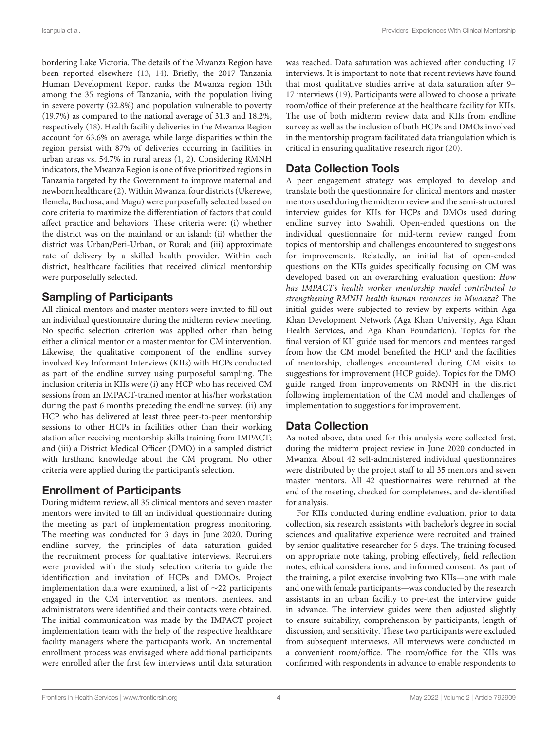bordering Lake Victoria. The details of the Mwanza Region have been reported elsewhere [\(13,](#page-14-10) [14\)](#page-14-11). Briefly, the 2017 Tanzania Human Development Report ranks the Mwanza region 13th among the 35 regions of Tanzania, with the population living in severe poverty (32.8%) and population vulnerable to poverty (19.7%) as compared to the national average of 31.3 and 18.2%, respectively [\(18\)](#page-14-15). Health facility deliveries in the Mwanza Region account for 63.6% on average, while large disparities within the region persist with 87% of deliveries occurring in facilities in urban areas vs. 54.7% in rural areas [\(1,](#page-14-0) [2\)](#page-14-1). Considering RMNH indicators, the Mwanza Region is one of five prioritized regions in Tanzania targeted by the Government to improve maternal and newborn healthcare [\(2\)](#page-14-1). Within Mwanza, four districts (Ukerewe, Ilemela, Buchosa, and Magu) were purposefully selected based on core criteria to maximize the differentiation of factors that could affect practice and behaviors. These criteria were: (i) whether the district was on the mainland or an island; (ii) whether the district was Urban/Peri-Urban, or Rural; and (iii) approximate rate of delivery by a skilled health provider. Within each district, healthcare facilities that received clinical mentorship were purposefully selected.

## Sampling of Participants

All clinical mentors and master mentors were invited to fill out an individual questionnaire during the midterm review meeting. No specific selection criterion was applied other than being either a clinical mentor or a master mentor for CM intervention. Likewise, the qualitative component of the endline survey involved Key Informant Interviews (KIIs) with HCPs conducted as part of the endline survey using purposeful sampling. The inclusion criteria in KIIs were (i) any HCP who has received CM sessions from an IMPACT-trained mentor at his/her workstation during the past 6 months preceding the endline survey; (ii) any HCP who has delivered at least three peer-to-peer mentorship sessions to other HCPs in facilities other than their working station after receiving mentorship skills training from IMPACT; and (iii) a District Medical Officer (DMO) in a sampled district with firsthand knowledge about the CM program. No other criteria were applied during the participant's selection.

# Enrollment of Participants

During midterm review, all 35 clinical mentors and seven master mentors were invited to fill an individual questionnaire during the meeting as part of implementation progress monitoring. The meeting was conducted for 3 days in June 2020. During endline survey, the principles of data saturation guided the recruitment process for qualitative interviews. Recruiters were provided with the study selection criteria to guide the identification and invitation of HCPs and DMOs. Project implementation data were examined, a list of ∼22 participants engaged in the CM intervention as mentors, mentees, and administrators were identified and their contacts were obtained. The initial communication was made by the IMPACT project implementation team with the help of the respective healthcare facility managers where the participants work. An incremental enrollment process was envisaged where additional participants were enrolled after the first few interviews until data saturation was reached. Data saturation was achieved after conducting 17 interviews. It is important to note that recent reviews have found that most qualitative studies arrive at data saturation after 9– 17 interviews [\(19\)](#page-14-16). Participants were allowed to choose a private room/office of their preference at the healthcare facility for KIIs. The use of both midterm review data and KIIs from endline survey as well as the inclusion of both HCPs and DMOs involved in the mentorship program facilitated data triangulation which is critical in ensuring qualitative research rigor [\(20\)](#page-14-17).

# Data Collection Tools

A peer engagement strategy was employed to develop and translate both the questionnaire for clinical mentors and master mentors used during the midterm review and the semi-structured interview guides for KIIs for HCPs and DMOs used during endline survey into Swahili. Open-ended questions on the individual questionnaire for mid-term review ranged from topics of mentorship and challenges encountered to suggestions for improvements. Relatedly, an initial list of open-ended questions on the KIIs guides specifically focusing on CM was developed based on an overarching evaluation question: How has IMPACT's health worker mentorship model contributed to strengthening RMNH health human resources in Mwanza? The initial guides were subjected to review by experts within Aga Khan Development Network (Aga Khan University, Aga Khan Health Services, and Aga Khan Foundation). Topics for the final version of KII guide used for mentors and mentees ranged from how the CM model benefited the HCP and the facilities of mentorship, challenges encountered during CM visits to suggestions for improvement (HCP guide). Topics for the DMO guide ranged from improvements on RMNH in the district following implementation of the CM model and challenges of implementation to suggestions for improvement.

# Data Collection

As noted above, data used for this analysis were collected first, during the midterm project review in June 2020 conducted in Mwanza. About 42 self-administered individual questionnaires were distributed by the project staff to all 35 mentors and seven master mentors. All 42 questionnaires were returned at the end of the meeting, checked for completeness, and de-identified for analysis.

For KIIs conducted during endline evaluation, prior to data collection, six research assistants with bachelor's degree in social sciences and qualitative experience were recruited and trained by senior qualitative researcher for 5 days. The training focused on appropriate note taking, probing effectively, field reflection notes, ethical considerations, and informed consent. As part of the training, a pilot exercise involving two KIIs—one with male and one with female participants—was conducted by the research assistants in an urban facility to pre-test the interview guide in advance. The interview guides were then adjusted slightly to ensure suitability, comprehension by participants, length of discussion, and sensitivity. These two participants were excluded from subsequent interviews. All interviews were conducted in a convenient room/office. The room/office for the KIIs was confirmed with respondents in advance to enable respondents to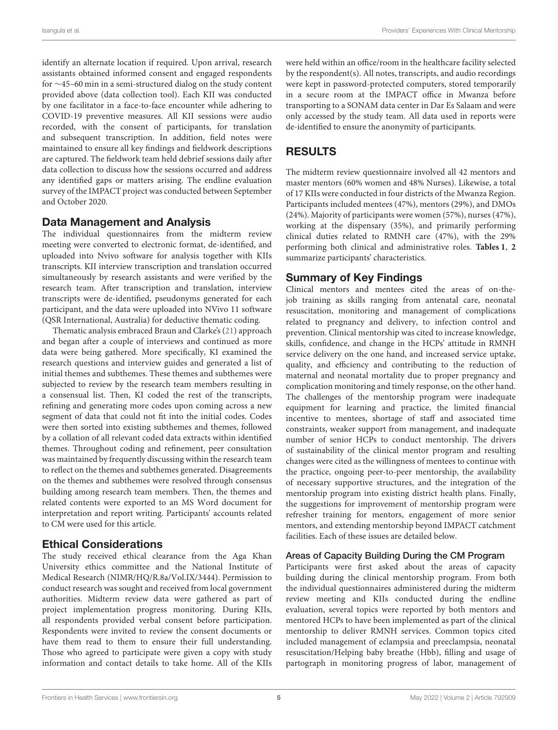identify an alternate location if required. Upon arrival, research assistants obtained informed consent and engaged respondents for ∼45–60 min in a semi-structured dialog on the study content provided above (data collection tool). Each KII was conducted by one facilitator in a face-to-face encounter while adhering to COVID-19 preventive measures. All KII sessions were audio recorded, with the consent of participants, for translation and subsequent transcription. In addition, field notes were maintained to ensure all key findings and fieldwork descriptions are captured. The fieldwork team held debrief sessions daily after data collection to discuss how the sessions occurred and address any identified gaps or matters arising. The endline evaluation survey of the IMPACT project was conducted between September and October 2020.

### Data Management and Analysis

The individual questionnaires from the midterm review meeting were converted to electronic format, de-identified, and uploaded into Nvivo software for analysis together with KIIs transcripts. KII interview transcription and translation occurred simultaneously by research assistants and were verified by the research team. After transcription and translation, interview transcripts were de-identified, pseudonyms generated for each participant, and the data were uploaded into NVivo 11 software (QSR International, Australia) for deductive thematic coding.

Thematic analysis embraced Braun and Clarke's [\(21\)](#page-14-18) approach and began after a couple of interviews and continued as more data were being gathered. More specifically, KI examined the research questions and interview guides and generated a list of initial themes and subthemes. These themes and subthemes were subjected to review by the research team members resulting in a consensual list. Then, KI coded the rest of the transcripts, refining and generating more codes upon coming across a new segment of data that could not fit into the initial codes. Codes were then sorted into existing subthemes and themes, followed by a collation of all relevant coded data extracts within identified themes. Throughout coding and refinement, peer consultation was maintained by frequently discussing within the research team to reflect on the themes and subthemes generated. Disagreements on the themes and subthemes were resolved through consensus building among research team members. Then, the themes and related contents were exported to an MS Word document for interpretation and report writing. Participants' accounts related to CM were used for this article.

#### Ethical Considerations

The study received ethical clearance from the Aga Khan University ethics committee and the National Institute of Medical Research (NIMR/HQ/R.8a/Vol.IX/3444). Permission to conduct research was sought and received from local government authorities. Midterm review data were gathered as part of project implementation progress monitoring. During KIIs, all respondents provided verbal consent before participation. Respondents were invited to review the consent documents or have them read to them to ensure their full understanding. Those who agreed to participate were given a copy with study information and contact details to take home. All of the KIIs were held within an office/room in the healthcare facility selected by the respondent(s). All notes, transcripts, and audio recordings were kept in password-protected computers, stored temporarily in a secure room at the IMPACT office in Mwanza before transporting to a SONAM data center in Dar Es Salaam and were only accessed by the study team. All data used in reports were de-identified to ensure the anonymity of participants.

# RESULTS

The midterm review questionnaire involved all 42 mentors and master mentors (60% women and 48% Nurses). Likewise, a total of 17 KIIs were conducted in four districts of the Mwanza Region. Participants included mentees (47%), mentors (29%), and DMOs (24%). Majority of participants were women (57%), nurses (47%), working at the dispensary (35%), and primarily performing clinical duties related to RMNH care (47%), with the 29% performing both clinical and administrative roles. **[Tables 1](#page-7-0)**, **[2](#page-8-0)** summarize participants' characteristics.

## Summary of Key Findings

Clinical mentors and mentees cited the areas of on-thejob training as skills ranging from antenatal care, neonatal resuscitation, monitoring and management of complications related to pregnancy and delivery, to infection control and prevention. Clinical mentorship was cited to increase knowledge, skills, confidence, and change in the HCPs' attitude in RMNH service delivery on the one hand, and increased service uptake, quality, and efficiency and contributing to the reduction of maternal and neonatal mortality due to proper pregnancy and complication monitoring and timely response, on the other hand. The challenges of the mentorship program were inadequate equipment for learning and practice, the limited financial incentive to mentees, shortage of staff and associated time constraints, weaker support from management, and inadequate number of senior HCPs to conduct mentorship. The drivers of sustainability of the clinical mentor program and resulting changes were cited as the willingness of mentees to continue with the practice, ongoing peer-to-peer mentorship, the availability of necessary supportive structures, and the integration of the mentorship program into existing district health plans. Finally, the suggestions for improvement of mentorship program were refresher training for mentors, engagement of more senior mentors, and extending mentorship beyond IMPACT catchment facilities. Each of these issues are detailed below.

#### Areas of Capacity Building During the CM Program

Participants were first asked about the areas of capacity building during the clinical mentorship program. From both the individual questionnaires administered during the midterm review meeting and KIIs conducted during the endline evaluation, several topics were reported by both mentors and mentored HCPs to have been implemented as part of the clinical mentorship to deliver RMNH services. Common topics cited included management of eclampsia and preeclampsia, neonatal resuscitation/Helping baby breathe (Hbb), filling and usage of partograph in monitoring progress of labor, management of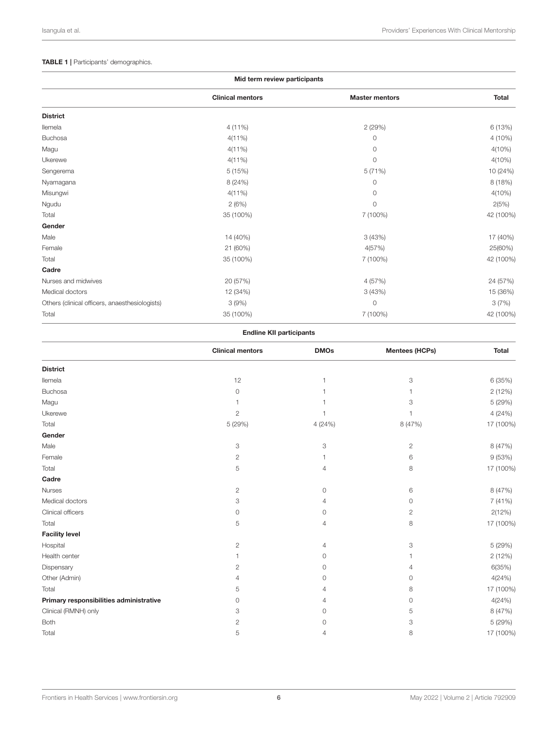#### <span id="page-7-0"></span>TABLE 1 | Participants' demographics.

|                                                | Mid term review participants |                       |              |
|------------------------------------------------|------------------------------|-----------------------|--------------|
|                                                | <b>Clinical mentors</b>      | <b>Master mentors</b> | <b>Total</b> |
| <b>District</b>                                |                              |                       |              |
| llemela                                        | $4(11\%)$                    | 2(29%)                | 6 (13%)      |
| Buchosa                                        | $4(11\%)$                    | 0                     | 4 (10%)      |
| Magu                                           | $4(11\%)$                    | 0                     | $4(10\%)$    |
| Ukerewe                                        | $4(11\%)$                    | $\circ$               | $4(10\%)$    |
| Sengerema                                      | 5(15%)                       | 5(71%)                | 10 (24%)     |
| Nyamagana                                      | 8 (24%)                      | $\circ$               | 8(18%)       |
| Misungwi                                       | $4(11\%)$                    | $\circ$               | $4(10\%)$    |
| Ngudu                                          | 2(6%)                        | $\circ$               | 2(5%)        |
| Total                                          | 35 (100%)                    | 7 (100%)              | 42 (100%)    |
| Gender                                         |                              |                       |              |
| Male                                           | 14 (40%)                     | 3(43%)                | 17 (40%)     |
| Female                                         | 21 (60%)                     | 4(57%)                | 25(60%)      |
| Total                                          | 35 (100%)                    | 7 (100%)              | 42 (100%)    |
| Cadre                                          |                              |                       |              |
| Nurses and midwives                            | 20 (57%)                     | 4 (57%)               | 24 (57%)     |
| Medical doctors                                | 12 (34%)                     | 3(43%)                | 15 (36%)     |
| Others (clinical officers, anaesthesiologists) | 3(9%)                        | $\circ$               | 3(7%)        |
| Total                                          | 35 (100%)                    | 7 (100%)              | 42 (100%)    |

#### Endline KII participants

|                                         | <b>Clinical mentors</b> | <b>DMOs</b> | <b>Mentees (HCPs)</b> | <b>Total</b> |
|-----------------------------------------|-------------------------|-------------|-----------------------|--------------|
| <b>District</b>                         |                         |             |                       |              |
| llemela                                 | 12                      | 1           | 3                     | 6 (35%)      |
| <b>Buchosa</b>                          | $\circ$                 | 1           | 1                     | 2(12%)       |
| Magu                                    |                         |             | 3                     | 5 (29%)      |
| Ukerewe                                 | $\mathbf{2}$            | 1           | $\overline{1}$        | 4(24%)       |
| Total                                   | 5 (29%)                 | 4 (24%)     | 8 (47%)               | 17 (100%)    |
| Gender                                  |                         |             |                       |              |
| Male                                    | 3                       | 3           | 2                     | 8 (47%)      |
| Female                                  | $\overline{c}$          | 1           | 6                     | 9(53%)       |
| Total                                   | 5                       | 4           | 8                     | 17 (100%)    |
| Cadre                                   |                         |             |                       |              |
| Nurses                                  | $\mathbf{2}$            | $\circ$     | 6                     | 8 (47%)      |
| Medical doctors                         | 3                       | 4           | 0                     | 7(41%)       |
| Clinical officers                       | 0                       | 0           | $\overline{c}$        | 2(12%)       |
| Total                                   | 5                       | 4           | 8                     | 17 (100%)    |
| <b>Facility level</b>                   |                         |             |                       |              |
| Hospital                                | $\mathbf{2}$            | 4           | 3                     | 5 (29%)      |
| Health center                           |                         | 0           | 1                     | 2(12%)       |
| Dispensary                              | $\mathbf{2}$            | 0           | 4                     | 6(35%)       |
| Other (Admin)                           | $\overline{4}$          | 0           | 0                     | 4(24%)       |
| Total                                   | 5                       | 4           | 8                     | 17 (100%)    |
| Primary responsibilities administrative | 0                       | 4           | 0                     | 4(24%)       |
| Clinical (RMNH) only                    | 3                       | 0           | 5                     | 8 (47%)      |
| Both                                    | $\mathbf{2}$            | 0           | 3                     | 5 (29%)      |
| Total                                   | 5                       | 4           | 8                     | 17 (100%)    |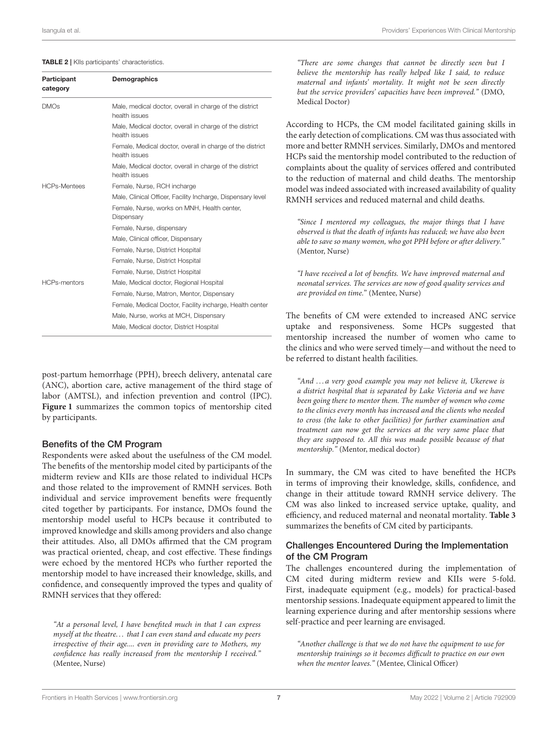#### <span id="page-8-0"></span>TABLE 2 | KIIs participants' characteristics.

| Participant<br>category | Demographics                                                               |
|-------------------------|----------------------------------------------------------------------------|
| <b>DMOs</b>             | Male, medical doctor, overall in charge of the district<br>health issues   |
|                         | Male, Medical doctor, overall in charge of the district<br>health issues   |
|                         | Female, Medical doctor, overall in charge of the district<br>health issues |
|                         | Male, Medical doctor, overall in charge of the district<br>health issues   |
| <b>HCPs-Mentees</b>     | Female, Nurse, RCH incharge                                                |
|                         | Male, Clinical Officer, Facility Incharge, Dispensary level                |
|                         | Female, Nurse, works on MNH, Health center,<br>Dispensary                  |
|                         | Female, Nurse, dispensary                                                  |
|                         | Male, Clinical officer, Dispensary                                         |
|                         | Female, Nurse, District Hospital                                           |
|                         | Female, Nurse, District Hospital                                           |
|                         | Female, Nurse, District Hospital                                           |
| <b>HCPs-mentors</b>     | Male, Medical doctor, Regional Hospital                                    |
|                         | Female, Nurse, Matron, Mentor, Dispensary                                  |
|                         | Female, Medical Doctor, Facility incharge, Health center                   |
|                         | Male, Nurse, works at MCH, Dispensary                                      |
|                         | Male, Medical doctor, District Hospital                                    |

post-partum hemorrhage (PPH), breech delivery, antenatal care (ANC), abortion care, active management of the third stage of labor (AMTSL), and infection prevention and control (IPC). **[Figure 1](#page-9-0)** summarizes the common topics of mentorship cited by participants.

#### Benefits of the CM Program

Respondents were asked about the usefulness of the CM model. The benefits of the mentorship model cited by participants of the midterm review and KIIs are those related to individual HCPs and those related to the improvement of RMNH services. Both individual and service improvement benefits were frequently cited together by participants. For instance, DMOs found the mentorship model useful to HCPs because it contributed to improved knowledge and skills among providers and also change their attitudes. Also, all DMOs affirmed that the CM program was practical oriented, cheap, and cost effective. These findings were echoed by the mentored HCPs who further reported the mentorship model to have increased their knowledge, skills, and confidence, and consequently improved the types and quality of RMNH services that they offered:

"At a personal level, I have benefited much in that I can express myself at the theatre. . . that I can even stand and educate my peers irrespective of their age.... even in providing care to Mothers, my confidence has really increased from the mentorship I received." (Mentee, Nurse)

"There are some changes that cannot be directly seen but I believe the mentorship has really helped like I said, to reduce maternal and infants' mortality. It might not be seen directly but the service providers' capacities have been improved." (DMO, Medical Doctor)

According to HCPs, the CM model facilitated gaining skills in the early detection of complications. CM was thus associated with more and better RMNH services. Similarly, DMOs and mentored HCPs said the mentorship model contributed to the reduction of complaints about the quality of services offered and contributed to the reduction of maternal and child deaths. The mentorship model was indeed associated with increased availability of quality RMNH services and reduced maternal and child deaths.

"Since I mentored my colleagues, the major things that I have observed is that the death of infants has reduced; we have also been able to save so many women, who got PPH before or after delivery." (Mentor, Nurse)

"I have received a lot of benefits. We have improved maternal and neonatal services. The services are now of good quality services and are provided on time." (Mentee, Nurse)

The benefits of CM were extended to increased ANC service uptake and responsiveness. Some HCPs suggested that mentorship increased the number of women who came to the clinics and who were served timely—and without the need to be referred to distant health facilities.

"And . . . a very good example you may not believe it, Ukerewe is a district hospital that is separated by Lake Victoria and we have been going there to mentor them. The number of women who come to the clinics every month has increased and the clients who needed to cross (the lake to other facilities) for further examination and treatment can now get the services at the very same place that they are supposed to. All this was made possible because of that mentorship." (Mentor, medical doctor)

In summary, the CM was cited to have benefited the HCPs in terms of improving their knowledge, skills, confidence, and change in their attitude toward RMNH service delivery. The CM was also linked to increased service uptake, quality, and efficiency, and reduced maternal and neonatal mortality. **[Table 3](#page-9-1)** summarizes the benefits of CM cited by participants.

#### Challenges Encountered During the Implementation of the CM Program

The challenges encountered during the implementation of CM cited during midterm review and KIIs were 5-fold. First, inadequate equipment (e.g., models) for practical-based mentorship sessions. Inadequate equipment appeared to limit the learning experience during and after mentorship sessions where self-practice and peer learning are envisaged.

"Another challenge is that we do not have the equipment to use for mentorship trainings so it becomes difficult to practice on our own when the mentor leaves." (Mentee, Clinical Officer)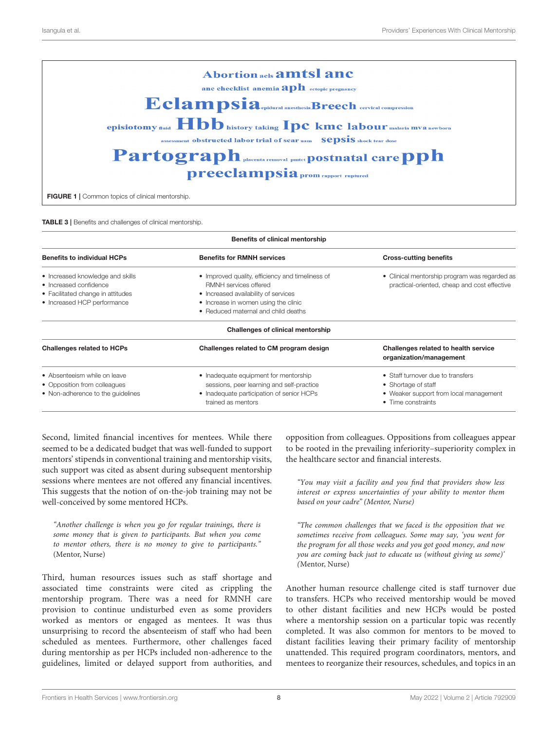| <b>Abortion acls amtsl and</b>                                                      |  |  |  |  |
|-------------------------------------------------------------------------------------|--|--|--|--|
| anc checklist anemia $\mathbf{aph}$ ectopic pregnancy                               |  |  |  |  |
| Eclampsia.contesta.Breech cervical compression                                      |  |  |  |  |
| episiotomy nuid <b>Hbb</b> history taking <b>Ipc</b> kmc labour malaria mva newborn |  |  |  |  |
| assessment obstructed labor trial of scar uam SepSiS shock tear dose                |  |  |  |  |
| Partograph placenta removal pmtet postnatal care pph                                |  |  |  |  |
| preeclampsia prom rapport ruptured                                                  |  |  |  |  |
| <b>FIGURE 1</b>   Common topics of clinical mentorship.                             |  |  |  |  |

<span id="page-9-1"></span><span id="page-9-0"></span>TABLE 3 | Benefits and challenges of clinical mentorship.

| Benefits of clinical mentorship                                                                                                |                                                                                                                                                                                                  |                                                                                                                          |  |  |
|--------------------------------------------------------------------------------------------------------------------------------|--------------------------------------------------------------------------------------------------------------------------------------------------------------------------------------------------|--------------------------------------------------------------------------------------------------------------------------|--|--|
| <b>Benefits to individual HCPs</b>                                                                                             | <b>Benefits for RMNH services</b>                                                                                                                                                                | <b>Cross-cutting benefits</b>                                                                                            |  |  |
| • Increased knowledge and skills<br>• Increased confidence<br>• Facilitated change in attitudes<br>• Increased HCP performance | • Improved quality, efficiency and timeliness of<br>RMNH services offered<br>• Increased availability of services<br>• Increase in women using the clinic<br>• Reduced maternal and child deaths | • Clinical mentorship program was regarded as<br>practical-oriented, cheap and cost effective                            |  |  |
|                                                                                                                                | Challenges of clinical mentorship                                                                                                                                                                |                                                                                                                          |  |  |
| <b>Challenges related to HCPs</b>                                                                                              | Challenges related to CM program design                                                                                                                                                          | Challenges related to health service<br>organization/management                                                          |  |  |
| • Absenteeism while on leave<br>• Opposition from colleagues<br>• Non-adherence to the quidelines                              | • Inadequate equipment for mentorship<br>sessions, peer learning and self-practice<br>• Inadequate participation of senior HCPs<br>trained as mentors                                            | • Staff turnover due to transfers<br>• Shortage of staff<br>• Weaker support from local management<br>• Time constraints |  |  |

Second, limited financial incentives for mentees. While there seemed to be a dedicated budget that was well-funded to support mentors' stipends in conventional training and mentorship visits, such support was cited as absent during subsequent mentorship sessions where mentees are not offered any financial incentives. This suggests that the notion of on-the-job training may not be well-conceived by some mentored HCPs.

"Another challenge is when you go for regular trainings, there is some money that is given to participants. But when you come to mentor others, there is no money to give to participants." (Mentor, Nurse)

Third, human resources issues such as staff shortage and associated time constraints were cited as crippling the mentorship program. There was a need for RMNH care provision to continue undisturbed even as some providers worked as mentors or engaged as mentees. It was thus unsurprising to record the absenteeism of staff who had been scheduled as mentees. Furthermore, other challenges faced during mentorship as per HCPs included non-adherence to the guidelines, limited or delayed support from authorities, and

opposition from colleagues. Oppositions from colleagues appear to be rooted in the prevailing inferiority–superiority complex in the healthcare sector and financial interests.

"You may visit a facility and you find that providers show less interest or express uncertainties of your ability to mentor them based on your cadre" (Mentor, Nurse)

"The common challenges that we faced is the opposition that we sometimes receive from colleagues. Some may say, 'you went for the program for all those weeks and you got good money, and now you are coming back just to educate us (without giving us some)' (Mentor, Nurse)

Another human resource challenge cited is staff turnover due to transfers. HCPs who received mentorship would be moved to other distant facilities and new HCPs would be posted where a mentorship session on a particular topic was recently completed. It was also common for mentors to be moved to distant facilities leaving their primary facility of mentorship unattended. This required program coordinators, mentors, and mentees to reorganize their resources, schedules, and topics in an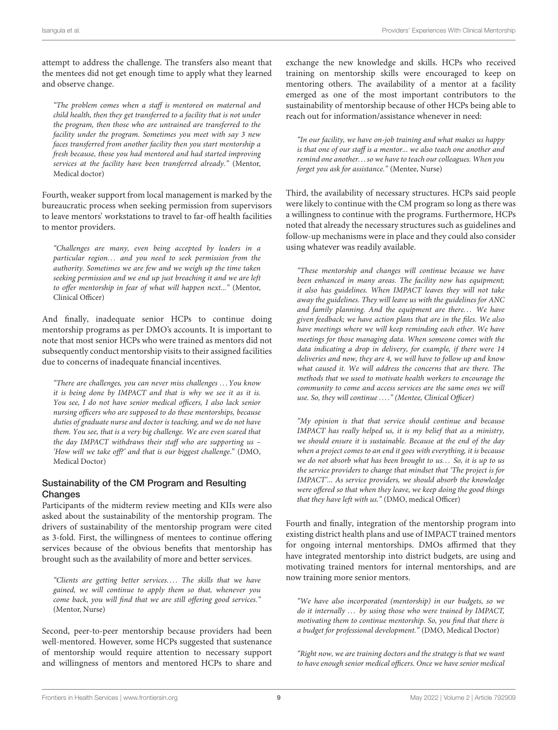attempt to address the challenge. The transfers also meant that the mentees did not get enough time to apply what they learned and observe change.

"The problem comes when a staff is mentored on maternal and child health, then they get transferred to a facility that is not under the program, then those who are untrained are transferred to the facility under the program. Sometimes you meet with say 3 new faces transferred from another facility then you start mentorship a fresh because, those you had mentored and had started improving services at the facility have been transferred already." (Mentor, Medical doctor)

Fourth, weaker support from local management is marked by the bureaucratic process when seeking permission from supervisors to leave mentors' workstations to travel to far-off health facilities to mentor providers.

"Challenges are many, even being accepted by leaders in a particular region... and you need to seek permission from the authority. Sometimes we are few and we weigh up the time taken seeking permission and we end up just breaching it and we are left to offer mentorship in fear of what will happen next..." (Mentor, Clinical Officer)

And finally, inadequate senior HCPs to continue doing mentorship programs as per DMO's accounts. It is important to note that most senior HCPs who were trained as mentors did not subsequently conduct mentorship visits to their assigned facilities due to concerns of inadequate financial incentives.

"There are challenges, you can never miss challenges . . . You know it is being done by IMPACT and that is why we see it as it is. You see, I do not have senior medical officers, I also lack senior nursing officers who are supposed to do these mentorships, because duties of graduate nurse and doctor is teaching, and we do not have them. You see, that is a very big challenge. We are even scared that the day IMPACT withdraws their staff who are supporting us – 'How will we take off?' and that is our biggest challenge." (DMO, Medical Doctor)

#### Sustainability of the CM Program and Resulting **Changes**

Participants of the midterm review meeting and KIIs were also asked about the sustainability of the mentorship program. The drivers of sustainability of the mentorship program were cited as 3-fold. First, the willingness of mentees to continue offering services because of the obvious benefits that mentorship has brought such as the availability of more and better services.

"Clients are getting better services.... The skills that we have gained, we will continue to apply them so that, whenever you come back, you will find that we are still offering good services." (Mentor, Nurse)

Second, peer-to-peer mentorship because providers had been well-mentored. However, some HCPs suggested that sustenance of mentorship would require attention to necessary support and willingness of mentors and mentored HCPs to share and exchange the new knowledge and skills. HCPs who received training on mentorship skills were encouraged to keep on mentoring others. The availability of a mentor at a facility emerged as one of the most important contributors to the sustainability of mentorship because of other HCPs being able to reach out for information/assistance whenever in need:

"In our facility, we have on-job training and what makes us happy is that one of our staff is a mentor... we also teach one another and remind one another. . . so we have to teach our colleagues. When you forget you ask for assistance." (Mentee, Nurse)

Third, the availability of necessary structures. HCPs said people were likely to continue with the CM program so long as there was a willingness to continue with the programs. Furthermore, HCPs noted that already the necessary structures such as guidelines and follow-up mechanisms were in place and they could also consider using whatever was readily available.

"These mentorship and changes will continue because we have been enhanced in many areas. The facility now has equipment; it also has guidelines. When IMPACT leaves they will not take away the guidelines. They will leave us with the guidelines for ANC and family planning. And the equipment are there... We have given feedback; we have action plans that are in the files. We also have meetings where we will keep reminding each other. We have meetings for those managing data. When someone comes with the data indicating a drop in delivery, for example, if there were 14 deliveries and now, they are 4, we will have to follow up and know what caused it. We will address the concerns that are there. The methods that we used to motivate health workers to encourage the community to come and access services are the same ones we will use. So, they will continue . . . ." (Mentee, Clinical Officer)

"My opinion is that that service should continue and because IMPACT has really helped us, it is my belief that as a ministry, we should ensure it is sustainable. Because at the end of the day when a project comes to an end it goes with everything, it is because we do not absorb what has been brought to us... So, it is up to us the service providers to change that mindset that 'The project is for IMPACT'... As service providers, we should absorb the knowledge were offered so that when they leave, we keep doing the good things that they have left with us." (DMO, medical Officer)

Fourth and finally, integration of the mentorship program into existing district health plans and use of IMPACT trained mentors for ongoing internal mentorships. DMOs affirmed that they have integrated mentorship into district budgets, are using and motivating trained mentors for internal mentorships, and are now training more senior mentors.

"We have also incorporated (mentorship) in our budgets, so we do it internally ... by using those who were trained by IMPACT, motivating them to continue mentorship. So, you find that there is a budget for professional development." (DMO, Medical Doctor)

"Right now, we are training doctors and the strategy is that we want to have enough senior medical officers. Once we have senior medical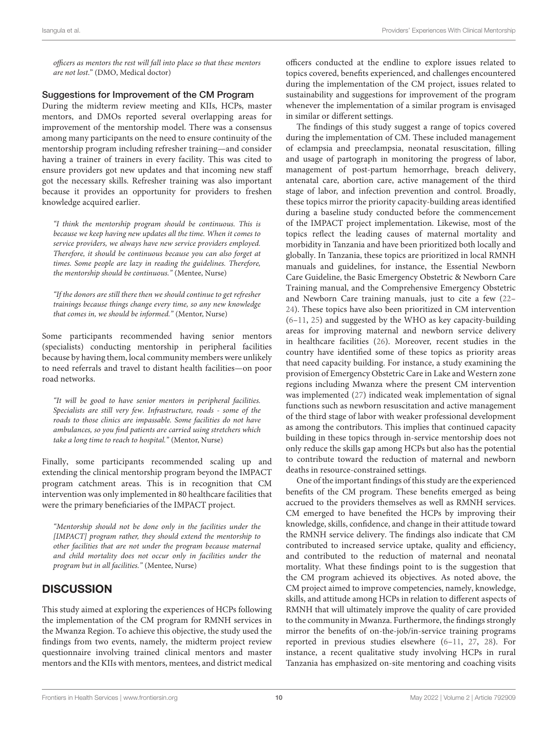officers as mentors the rest will fall into place so that these mentors are not lost." (DMO, Medical doctor)

#### Suggestions for Improvement of the CM Program

During the midterm review meeting and KIIs, HCPs, master mentors, and DMOs reported several overlapping areas for improvement of the mentorship model. There was a consensus among many participants on the need to ensure continuity of the mentorship program including refresher training—and consider having a trainer of trainers in every facility. This was cited to ensure providers got new updates and that incoming new staff got the necessary skills. Refresher training was also important because it provides an opportunity for providers to freshen knowledge acquired earlier.

"I think the mentorship program should be continuous. This is because we keep having new updates all the time. When it comes to service providers, we always have new service providers employed. Therefore, it should be continuous because you can also forget at times. Some people are lazy in reading the guidelines. Therefore, the mentorship should be continuous." (Mentee, Nurse)

"If the donors are still there then we should continue to get refresher trainings because things change every time, so any new knowledge that comes in, we should be informed." (Mentor, Nurse)

Some participants recommended having senior mentors (specialists) conducting mentorship in peripheral facilities because by having them, local community members were unlikely to need referrals and travel to distant health facilities—on poor road networks.

"It will be good to have senior mentors in peripheral facilities. Specialists are still very few. Infrastructure, roads - some of the roads to those clinics are impassable. Some facilities do not have ambulances, so you find patients are carried using stretchers which take a long time to reach to hospital." (Mentor, Nurse)

Finally, some participants recommended scaling up and extending the clinical mentorship program beyond the IMPACT program catchment areas. This is in recognition that CM intervention was only implemented in 80 healthcare facilities that were the primary beneficiaries of the IMPACT project.

"Mentorship should not be done only in the facilities under the [IMPACT] program rather, they should extend the mentorship to other facilities that are not under the program because maternal and child mortality does not occur only in facilities under the program but in all facilities." (Mentee, Nurse)

### **DISCUSSION**

This study aimed at exploring the experiences of HCPs following the implementation of the CM program for RMNH services in the Mwanza Region. To achieve this objective, the study used the findings from two events, namely, the midterm project review questionnaire involving trained clinical mentors and master mentors and the KIIs with mentors, mentees, and district medical officers conducted at the endline to explore issues related to topics covered, benefits experienced, and challenges encountered during the implementation of the CM project, issues related to sustainability and suggestions for improvement of the program whenever the implementation of a similar program is envisaged in similar or different settings.

The findings of this study suggest a range of topics covered during the implementation of CM. These included management of eclampsia and preeclampsia, neonatal resuscitation, filling and usage of partograph in monitoring the progress of labor, management of post-partum hemorrhage, breach delivery, antenatal care, abortion care, active management of the third stage of labor, and infection prevention and control. Broadly, these topics mirror the priority capacity-building areas identified during a baseline study conducted before the commencement of the IMPACT project implementation. Likewise, most of the topics reflect the leading causes of maternal mortality and morbidity in Tanzania and have been prioritized both locally and globally. In Tanzania, these topics are prioritized in local RMNH manuals and guidelines, for instance, the Essential Newborn Care Guideline, the Basic Emergency Obstetric & Newborn Care Training manual, and the Comprehensive Emergency Obstetric and Newborn Care training manuals, just to cite a few [\(22–](#page-14-19) [24\)](#page-15-0). These topics have also been prioritized in CM intervention [\(6–](#page-14-6)[11,](#page-14-7) [25\)](#page-15-1) and suggested by the WHO as key capacity-building areas for improving maternal and newborn service delivery in healthcare facilities [\(26\)](#page-15-2). Moreover, recent studies in the country have identified some of these topics as priority areas that need capacity building. For instance, a study examining the provision of Emergency Obstetric Care in Lake and Western zone regions including Mwanza where the present CM intervention was implemented [\(27\)](#page-15-3) indicated weak implementation of signal functions such as newborn resuscitation and active management of the third stage of labor with weaker professional development as among the contributors. This implies that continued capacity building in these topics through in-service mentorship does not only reduce the skills gap among HCPs but also has the potential to contribute toward the reduction of maternal and newborn deaths in resource-constrained settings.

One of the important findings of this study are the experienced benefits of the CM program. These benefits emerged as being accrued to the providers themselves as well as RMNH services. CM emerged to have benefited the HCPs by improving their knowledge, skills, confidence, and change in their attitude toward the RMNH service delivery. The findings also indicate that CM contributed to increased service uptake, quality and efficiency, and contributed to the reduction of maternal and neonatal mortality. What these findings point to is the suggestion that the CM program achieved its objectives. As noted above, the CM project aimed to improve competencies, namely, knowledge, skills, and attitude among HCPs in relation to different aspects of RMNH that will ultimately improve the quality of care provided to the community in Mwanza. Furthermore, the findings strongly mirror the benefits of on-the-job/in-service training programs reported in previous studies elsewhere [\(6](#page-14-6)[–11,](#page-14-7) [27,](#page-15-3) [28\)](#page-15-4). For instance, a recent qualitative study involving HCPs in rural Tanzania has emphasized on-site mentoring and coaching visits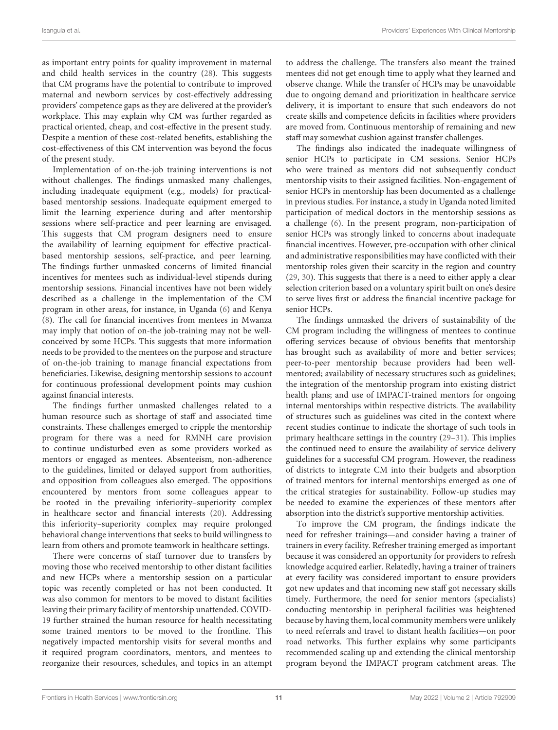as important entry points for quality improvement in maternal and child health services in the country [\(28\)](#page-15-4). This suggests that CM programs have the potential to contribute to improved maternal and newborn services by cost-effectively addressing providers' competence gaps as they are delivered at the provider's workplace. This may explain why CM was further regarded as practical oriented, cheap, and cost-effective in the present study. Despite a mention of these cost-related benefits, establishing the cost-effectiveness of this CM intervention was beyond the focus of the present study.

Implementation of on-the-job training interventions is not without challenges. The findings unmasked many challenges, including inadequate equipment (e.g., models) for practicalbased mentorship sessions. Inadequate equipment emerged to limit the learning experience during and after mentorship sessions where self-practice and peer learning are envisaged. This suggests that CM program designers need to ensure the availability of learning equipment for effective practicalbased mentorship sessions, self-practice, and peer learning. The findings further unmasked concerns of limited financial incentives for mentees such as individual-level stipends during mentorship sessions. Financial incentives have not been widely described as a challenge in the implementation of the CM program in other areas, for instance, in Uganda [\(6\)](#page-14-6) and Kenya [\(8\)](#page-14-4). The call for financial incentives from mentees in Mwanza may imply that notion of on-the job-training may not be wellconceived by some HCPs. This suggests that more information needs to be provided to the mentees on the purpose and structure of on-the-job training to manage financial expectations from beneficiaries. Likewise, designing mentorship sessions to account for continuous professional development points may cushion against financial interests.

The findings further unmasked challenges related to a human resource such as shortage of staff and associated time constraints. These challenges emerged to cripple the mentorship program for there was a need for RMNH care provision to continue undisturbed even as some providers worked as mentors or engaged as mentees. Absenteeism, non-adherence to the guidelines, limited or delayed support from authorities, and opposition from colleagues also emerged. The oppositions encountered by mentors from some colleagues appear to be rooted in the prevailing inferiority–superiority complex in healthcare sector and financial interests [\(20\)](#page-14-17). Addressing this inferiority–superiority complex may require prolonged behavioral change interventions that seeks to build willingness to learn from others and promote teamwork in healthcare settings.

There were concerns of staff turnover due to transfers by moving those who received mentorship to other distant facilities and new HCPs where a mentorship session on a particular topic was recently completed or has not been conducted. It was also common for mentors to be moved to distant facilities leaving their primary facility of mentorship unattended. COVID-19 further strained the human resource for health necessitating some trained mentors to be moved to the frontline. This negatively impacted mentorship visits for several months and it required program coordinators, mentors, and mentees to reorganize their resources, schedules, and topics in an attempt to address the challenge. The transfers also meant the trained mentees did not get enough time to apply what they learned and observe change. While the transfer of HCPs may be unavoidable due to ongoing demand and prioritization in healthcare service delivery, it is important to ensure that such endeavors do not create skills and competence deficits in facilities where providers are moved from. Continuous mentorship of remaining and new staff may somewhat cushion against transfer challenges.

The findings also indicated the inadequate willingness of senior HCPs to participate in CM sessions. Senior HCPs who were trained as mentors did not subsequently conduct mentorship visits to their assigned facilities. Non-engagement of senior HCPs in mentorship has been documented as a challenge in previous studies. For instance, a study in Uganda noted limited participation of medical doctors in the mentorship sessions as a challenge [\(6\)](#page-14-6). In the present program, non-participation of senior HCPs was strongly linked to concerns about inadequate financial incentives. However, pre-occupation with other clinical and administrative responsibilities may have conflicted with their mentorship roles given their scarcity in the region and country [\(29,](#page-15-5) [30\)](#page-15-6). This suggests that there is a need to either apply a clear selection criterion based on a voluntary spirit built on one's desire to serve lives first or address the financial incentive package for senior HCPs.

The findings unmasked the drivers of sustainability of the CM program including the willingness of mentees to continue offering services because of obvious benefits that mentorship has brought such as availability of more and better services; peer-to-peer mentorship because providers had been wellmentored; availability of necessary structures such as guidelines; the integration of the mentorship program into existing district health plans; and use of IMPACT-trained mentors for ongoing internal mentorships within respective districts. The availability of structures such as guidelines was cited in the context where recent studies continue to indicate the shortage of such tools in primary healthcare settings in the country [\(29](#page-15-5)[–31\)](#page-15-7). This implies the continued need to ensure the availability of service delivery guidelines for a successful CM program. However, the readiness of districts to integrate CM into their budgets and absorption of trained mentors for internal mentorships emerged as one of the critical strategies for sustainability. Follow-up studies may be needed to examine the experiences of these mentors after absorption into the district's supportive mentorship activities.

To improve the CM program, the findings indicate the need for refresher trainings—and consider having a trainer of trainers in every facility. Refresher training emerged as important because it was considered an opportunity for providers to refresh knowledge acquired earlier. Relatedly, having a trainer of trainers at every facility was considered important to ensure providers got new updates and that incoming new staff got necessary skills timely. Furthermore, the need for senior mentors (specialists) conducting mentorship in peripheral facilities was heightened because by having them, local community members were unlikely to need referrals and travel to distant health facilities—on poor road networks. This further explains why some participants recommended scaling up and extending the clinical mentorship program beyond the IMPACT program catchment areas. The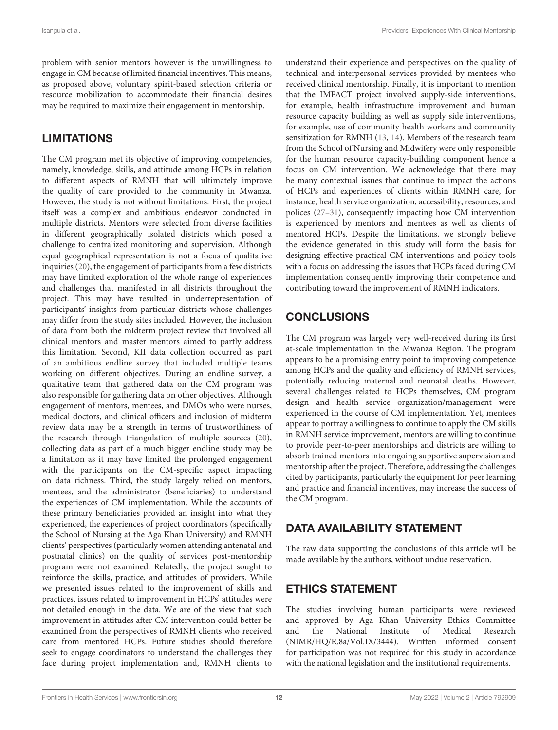problem with senior mentors however is the unwillingness to engage in CM because of limited financial incentives. This means, as proposed above, voluntary spirit-based selection criteria or resource mobilization to accommodate their financial desires may be required to maximize their engagement in mentorship.

# LIMITATIONS

The CM program met its objective of improving competencies, namely, knowledge, skills, and attitude among HCPs in relation to different aspects of RMNH that will ultimately improve the quality of care provided to the community in Mwanza. However, the study is not without limitations. First, the project itself was a complex and ambitious endeavor conducted in multiple districts. Mentors were selected from diverse facilities in different geographically isolated districts which posed a challenge to centralized monitoring and supervision. Although equal geographical representation is not a focus of qualitative inquiries [\(20\)](#page-14-17), the engagement of participants from a few districts may have limited exploration of the whole range of experiences and challenges that manifested in all districts throughout the project. This may have resulted in underrepresentation of participants' insights from particular districts whose challenges may differ from the study sites included. However, the inclusion of data from both the midterm project review that involved all clinical mentors and master mentors aimed to partly address this limitation. Second, KII data collection occurred as part of an ambitious endline survey that included multiple teams working on different objectives. During an endline survey, a qualitative team that gathered data on the CM program was also responsible for gathering data on other objectives. Although engagement of mentors, mentees, and DMOs who were nurses, medical doctors, and clinical officers and inclusion of midterm review data may be a strength in terms of trustworthiness of the research through triangulation of multiple sources [\(20\)](#page-14-17), collecting data as part of a much bigger endline study may be a limitation as it may have limited the prolonged engagement with the participants on the CM-specific aspect impacting on data richness. Third, the study largely relied on mentors, mentees, and the administrator (beneficiaries) to understand the experiences of CM implementation. While the accounts of these primary beneficiaries provided an insight into what they experienced, the experiences of project coordinators (specifically the School of Nursing at the Aga Khan University) and RMNH clients' perspectives (particularly women attending antenatal and postnatal clinics) on the quality of services post-mentorship program were not examined. Relatedly, the project sought to reinforce the skills, practice, and attitudes of providers. While we presented issues related to the improvement of skills and practices, issues related to improvement in HCPs' attitudes were not detailed enough in the data. We are of the view that such improvement in attitudes after CM intervention could better be examined from the perspectives of RMNH clients who received care from mentored HCPs. Future studies should therefore seek to engage coordinators to understand the challenges they face during project implementation and, RMNH clients to

understand their experience and perspectives on the quality of technical and interpersonal services provided by mentees who received clinical mentorship. Finally, it is important to mention that the IMPACT project involved supply-side interventions, for example, health infrastructure improvement and human resource capacity building as well as supply side interventions, for example, use of community health workers and community sensitization for RMNH [\(13,](#page-14-10) [14\)](#page-14-11). Members of the research team from the School of Nursing and Midwifery were only responsible for the human resource capacity-building component hence a focus on CM intervention. We acknowledge that there may be many contextual issues that continue to impact the actions of HCPs and experiences of clients within RMNH care, for instance, health service organization, accessibility, resources, and polices [\(27](#page-15-3)[–31\)](#page-15-7), consequently impacting how CM intervention is experienced by mentors and mentees as well as clients of mentored HCPs. Despite the limitations, we strongly believe the evidence generated in this study will form the basis for designing effective practical CM interventions and policy tools with a focus on addressing the issues that HCPs faced during CM implementation consequently improving their competence and contributing toward the improvement of RMNH indicators.

# **CONCLUSIONS**

The CM program was largely very well-received during its first at-scale implementation in the Mwanza Region. The program appears to be a promising entry point to improving competence among HCPs and the quality and efficiency of RMNH services, potentially reducing maternal and neonatal deaths. However, several challenges related to HCPs themselves, CM program design and health service organization/management were experienced in the course of CM implementation. Yet, mentees appear to portray a willingness to continue to apply the CM skills in RMNH service improvement, mentors are willing to continue to provide peer-to-peer mentorships and districts are willing to absorb trained mentors into ongoing supportive supervision and mentorship after the project. Therefore, addressing the challenges cited by participants, particularly the equipment for peer learning and practice and financial incentives, may increase the success of the CM program.

# DATA AVAILABILITY STATEMENT

The raw data supporting the conclusions of this article will be made available by the authors, without undue reservation.

# ETHICS STATEMENT

The studies involving human participants were reviewed and approved by Aga Khan University Ethics Committee and the National Institute of Medical Research (NIMR/HQ/R.8a/Vol.IX/3444). Written informed consent for participation was not required for this study in accordance with the national legislation and the institutional requirements.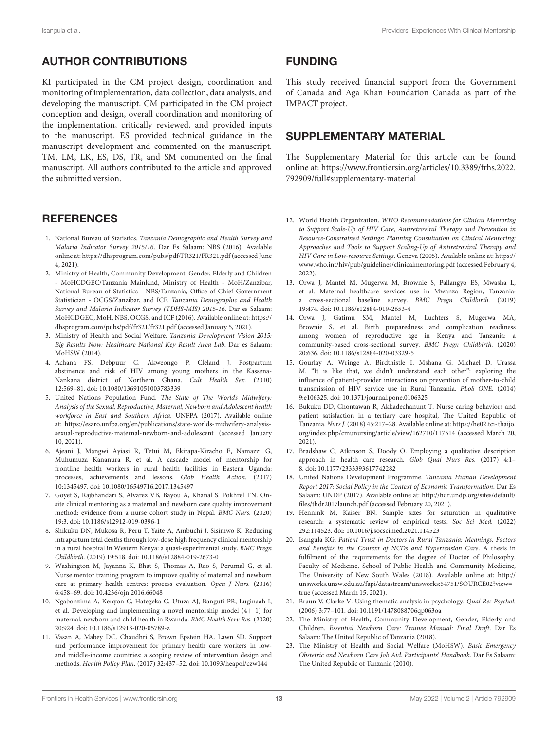# AUTHOR CONTRIBUTIONS

KI participated in the CM project design, coordination and monitoring of implementation, data collection, data analysis, and developing the manuscript. CM participated in the CM project conception and design, overall coordination and monitoring of the implementation, critically reviewed, and provided inputs to the manuscript. ES provided technical guidance in the manuscript development and commented on the manuscript. TM, LM, LK, ES, DS, TR, and SM commented on the final manuscript. All authors contributed to the article and approved the submitted version.

#### **REFERENCES**

- <span id="page-14-0"></span>1. National Bureau of Statistics. Tanzania Demographic and Health Survey and Malaria Indicator Survey 2015/16. Dar Es Salaam: NBS (2016). Available online at:<https://dhsprogram.com/pubs/pdf/FR321/FR321.pdf> (accessed June 4, 2021).
- <span id="page-14-1"></span>2. Ministry of Health, Community Development, Gender, Elderly and Children - MoHCDGEC/Tanzania Mainland, Ministry of Health - MoH/Zanzibar, National Bureau of Statistics - NBS/Tanzania, Office of Chief Government Statistician - OCGS/Zanzibar, and ICF. Tanzania Demographic and Health Survey and Malaria Indicator Survey (TDHS-MIS) 2015-16. Dar es Salaam: MoHCDGEC, MoH, NBS, OCGS, and ICF (2016). Available online at: [https://](https://dhsprogram.com/pubs/pdf/fr321/fr321.pdf) [dhsprogram.com/pubs/pdf/fr321/fr321.pdf](https://dhsprogram.com/pubs/pdf/fr321/fr321.pdf) (accessed January 5, 2021).
- <span id="page-14-2"></span>3. Ministry of Health and Social Welfare. Tanzania Development Vision 2015: Big Results Now; Healthcare National Key Result Area Lab. Dar es Salaam: MoHSW (2014).
- <span id="page-14-3"></span>4. Achana FS, Debpuur C, Akweongo P, Cleland J. Postpartum abstinence and risk of HIV among young mothers in the Kassena-Nankana district of Northern Ghana. Cult Health Sex. (2010) 12:569–81. doi: [10.1080/13691051003783339](https://doi.org/10.1080/13691051003783339)
- <span id="page-14-5"></span>5. United Nations Population Fund. The State of The World's Midwifery: Analysis of the Sexual, Reproductive, Maternal, Newborn and Adolescent health workforce in East and Southern Africa. UNFPA (2017). Available online at: [https://esaro.unfpa.org/en/publications/state-worlds-midwifery-analysis](https://esaro.unfpa.org/en/publications/state-worlds-midwifery-analysis-sexual-reproductive-maternal-newborn-and-adolescent)[sexual-reproductive-maternal-newborn-and-adolescent](https://esaro.unfpa.org/en/publications/state-worlds-midwifery-analysis-sexual-reproductive-maternal-newborn-and-adolescent) (accessed January 10, 2021).
- <span id="page-14-6"></span>6. Ajeani J, Mangwi Ayiasi R, Tetui M, Ekirapa-Kiracho E, Namazzi G, Muhumuza Kananura R, et al. A cascade model of mentorship for frontline health workers in rural health facilities in Eastern Uganda: processes, achievements and lessons. Glob Health Action. (2017) 10:1345497. doi: [10.1080/16549716.2017.1345497](https://doi.org/10.1080/16549716.2017.1345497)
- 7. Goyet S, Rajbhandari S, Alvarez VB, Bayou A, Khanal S. Pokhrel TN. Onsite clinical mentoring as a maternal and newborn care quality improvement method: evidence from a nurse cohort study in Nepal. BMC Nurs. (2020) 19:3. doi: [10.1186/s12912-019-0396-1](https://doi.org/10.1186/s12912-019-0396-1)
- <span id="page-14-4"></span>8. Shikuku DN, Mukosa R, Peru T, Yaite A, Ambuchi J. Sisimwo K. Reducing intrapartum fetal deaths through low-dose high frequency clinical mentorship in a rural hospital in Western Kenya: a quasi-experimental study. BMC Pregn Childbirth. (2019) 19:518. doi: [10.1186/s12884-019-2673-0](https://doi.org/10.1186/s12884-019-2673-0)
- 9. Washington M, Jayanna K, Bhat S, Thomas A, Rao S, Perumal G, et al. Nurse mentor training program to improve quality of maternal and newborn care at primary health centres: process evaluation. Open J Nurs. (2016) 6:458–69. doi: [10.4236/ojn.2016.66048](https://doi.org/10.4236/ojn.2016.66048)
- <span id="page-14-8"></span>10. Ngabonzima A, Kenyon C, Hategeka C, Utuza AJ, Banguti PR, Luginaah I, et al. Developing and implementing a novel mentorship model (4+ 1) for maternal, newborn and child health in Rwanda. BMC Health Serv Res. (2020) 20:924. doi: [10.1186/s12913-020-05789-z](https://doi.org/10.1186/s12913-020-05789-z)
- <span id="page-14-7"></span>11. Vasan A, Mabey DC, Chaudhri S, Brown Epstein HA, Lawn SD. Support and performance improvement for primary health care workers in lowand middle-income countries: a scoping review of intervention design and methods. Health Policy Plan. (2017) 32:437–52. doi: [10.1093/heapol/czw144](https://doi.org/10.1093/heapol/czw144)

### FUNDING

This study received financial support from the Government of Canada and Aga Khan Foundation Canada as part of the IMPACT project.

### SUPPLEMENTARY MATERIAL

The Supplementary Material for this article can be found [online at: https://www.frontiersin.org/articles/10.3389/frhs.2022.](https://www.frontiersin.org/articles/10.3389/frhs.2022.792909/full#supplementary-material) 792909/full#supplementary-material

- <span id="page-14-9"></span>12. World Health Organization. WHO Recommendations for Clinical Mentoring to Support Scale-Up of HIV Care, Antiretroviral Therapy and Prevention in Resource-Constrained Settings: Planning Consultation on Clinical Mentoring: Approaches and Tools to Support Scaling-Up of Antiretroviral Therapy and HIV Care in Low-resource Settings. Geneva (2005). Available online at: [https://](https://www.who.int/hiv/pub/guidelines/clinicalmentoring.pdf) [www.who.int/hiv/pub/guidelines/clinicalmentoring.pdf](https://www.who.int/hiv/pub/guidelines/clinicalmentoring.pdf) (accessed February 4, 2022).
- <span id="page-14-10"></span>13. Orwa J, Mantel M, Mugerwa M, Brownie S, Pallangyo ES, Mwasha L, et al. Maternal healthcare services use in Mwanza Region, Tanzania: a cross-sectional baseline survey. BMC Pregn Childbirth. (2019) 19:474. doi: [10.1186/s12884-019-2653-4](https://doi.org/10.1186/s12884-019-2653-4)
- <span id="page-14-11"></span>14. Orwa J, Gatimu SM, Mantel M, Luchters S, Mugerwa MA, Brownie S, et al. Birth preparedness and complication readiness among women of reproductive age in Kenya and Tanzania: a community-based cross-sectional survey. BMC Pregn Childbirth. (2020) 20:636. doi: [10.1186/s12884-020-03329-5](https://doi.org/10.1186/s12884-020-03329-5)
- <span id="page-14-12"></span>15. Gourlay A, Wringe A, Birdthistle I, Mshana G, Michael D, Urassa M. "It is like that, we didn't understand each other": exploring the influence of patient-provider interactions on prevention of mother-to-child transmission of HIV service use in Rural Tanzania. PLoS ONE. (2014) 9:e106325. doi: [10.1371/journal.pone.0106325](https://doi.org/10.1371/journal.pone.0106325)
- <span id="page-14-13"></span>16. Bukuku DD, Chontawan R, Akkadechanunt T. Nurse caring behaviors and patient satisfaction in a tertiary care hospital, The United Republic of Tanzania. Nurs J. (2018) 45:217–28. Available online at: [https://he02.tci-thaijo.](https://he02.tci-thaijo.org/index.php/cmunursing/article/view/162710/117514) [org/index.php/cmunursing/article/view/162710/117514](https://he02.tci-thaijo.org/index.php/cmunursing/article/view/162710/117514) (accessed March 20, 2021).
- <span id="page-14-14"></span>17. Bradshaw C, Atkinson S, Doody O. Employing a qualitative description approach in health care research. Glob Qual Nurs Res. (2017) 4:1-8. doi: [10.1177/2333393617742282](https://doi.org/10.1177/2333393617742282)
- <span id="page-14-15"></span>18. United Nations Development Programme. Tanzania Human Development Report 2017: Social Policy in the Context of Economic Transformation. Dar Es Salaam: UNDP (2017). Available online at: [http://hdr.undp.org/sites/default/](http://hdr.undp.org/sites/default/files/thdr2017launch.pdf) [files/thdr2017launch.pdf](http://hdr.undp.org/sites/default/files/thdr2017launch.pdf) (accessed February 20, 2021).
- <span id="page-14-16"></span>19. Hennink M, Kaiser BN. Sample sizes for saturation in qualitative research: a systematic review of empirical tests. Soc Sci Med. (2022) 292:114523. doi: [10.1016/j.socscimed.2021.114523](https://doi.org/10.1016/j.socscimed.2021.114523)
- <span id="page-14-17"></span>20. Isangula KG. Patient Trust in Doctors in Rural Tanzania: Meanings, Factors and Benefits in the Context of NCDs and Hypertension Care. A thesis in fulfilment of the requirements for the degree of Doctor of Philosophy. Faculty of Medicine, School of Public Health and Community Medicine, The University of New South Wales (2018). Available online at: [http://](http://unsworks.unsw.edu.au/fapi/datastream/unsworks:54751/SOURCE02?view=true) [unsworks.unsw.edu.au/fapi/datastream/unsworks:54751/SOURCE02?view=](http://unsworks.unsw.edu.au/fapi/datastream/unsworks:54751/SOURCE02?view=true) [true](http://unsworks.unsw.edu.au/fapi/datastream/unsworks:54751/SOURCE02?view=true) (accessed March 15, 2021).
- <span id="page-14-18"></span>21. Braun V, Clarke V. Using thematic analysis in psychology. Qual Res Psychol. (2006) 3:77–101. doi: [10.1191/1478088706qp063oa](https://doi.org/10.1191/1478088706qp063oa)
- <span id="page-14-19"></span>22. The Ministry of Health, Community Development, Gender, Elderly and Children. Essential Newborn Care: Trainee Manual: Final Draft. Dar Es Salaam: The United Republic of Tanzania (2018).
- 23. The Ministry of Health and Social Welfare (MoHSW). Basic Emergency Obstetric and Newborn Care Job Aid. Participants' Handbook. Dar Es Salaam: The United Republic of Tanzania (2010).